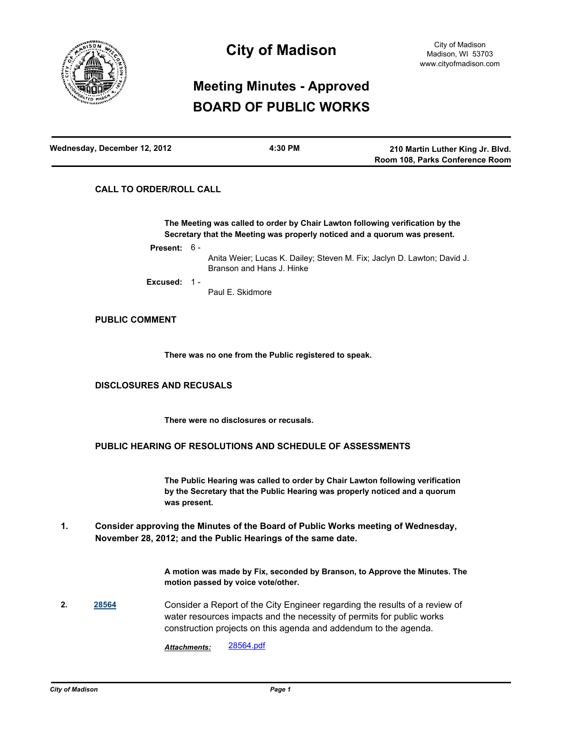

# **City of Madison**

# **Meeting Minutes - Approved BOARD OF PUBLIC WORKS**

| Wednesday, December 12, 2012 | 4:30 PM | 210 Martin Luther King Jr. Blvd. |
|------------------------------|---------|----------------------------------|
|                              |         | Room 108, Parks Conference Room  |

## **CALL TO ORDER/ROLL CALL**

**The Meeting was called to order by Chair Lawton following verification by the Secretary that the Meeting was properly noticed and a quorum was present.**

**Present:** 6 -

Anita Weier; Lucas K. Dailey; Steven M. Fix; Jaclyn D. Lawton; David J. Branson and Hans J. Hinke

**Excused:** 1 -

Paul E. Skidmore

### **PUBLIC COMMENT**

**There was no one from the Public registered to speak.**

## **DISCLOSURES AND RECUSALS**

**There were no disclosures or recusals.**

## **PUBLIC HEARING OF RESOLUTIONS AND SCHEDULE OF ASSESSMENTS**

**The Public Hearing was called to order by Chair Lawton following verification by the Secretary that the Public Hearing was properly noticed and a quorum was present.**

**Consider approving the Minutes of the Board of Public Works meeting of Wednesday, November 28, 2012; and the Public Hearings of the same date. 1.**

> **A motion was made by Fix, seconded by Branson, to Approve the Minutes. The motion passed by voice vote/other.**

**2. [28564](http://madison.legistar.com/gateway.aspx?m=l&id=/matter.aspx?key=31348)** Consider a Report of the City Engineer regarding the results of a review of water resources impacts and the necessity of permits for public works construction projects on this agenda and addendum to the agenda.

*Attachments:* [28564.pdf](http://madison.legistar.com/gateway.aspx?M=F&ID=2cc87b96-bb7e-4c0c-981a-821003d67d5e.pdf)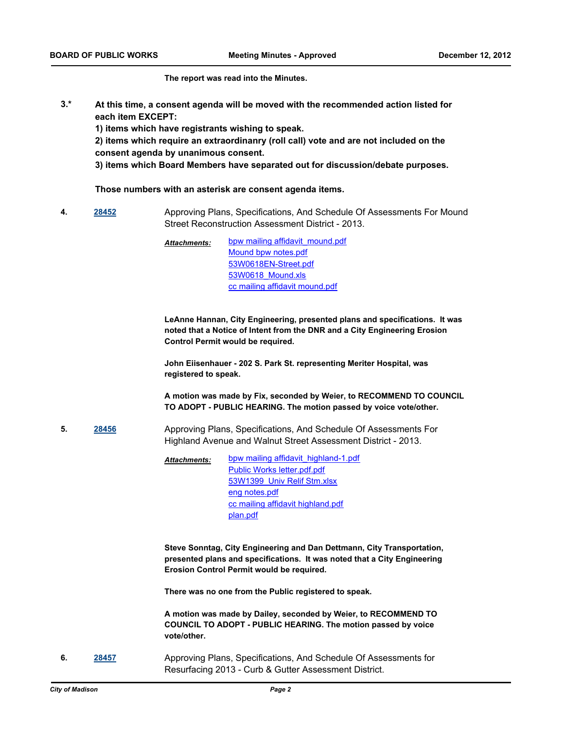#### **The report was read into the Minutes.**

**At this time, a consent agenda will be moved with the recommended action listed for each item EXCEPT: 3.\***

**1) items which have registrants wishing to speak.**

**2) items which require an extraordinanry (roll call) vote and are not included on the consent agenda by unanimous consent.**

**3) items which Board Members have separated out for discussion/debate purposes.** 

#### **Those numbers with an asterisk are consent agenda items.**

**4. [28452](http://madison.legistar.com/gateway.aspx?m=l&id=/matter.aspx?key=31228)** Approving Plans, Specifications, And Schedule Of Assessments For Mound Street Reconstruction Assessment District - 2013.

> [bpw mailing affidavit\\_mound.pdf](http://madison.legistar.com/gateway.aspx?M=F&ID=11234847-6bf7-403b-afd4-cf16179a0ad0.pdf) [Mound bpw notes.pdf](http://madison.legistar.com/gateway.aspx?M=F&ID=e622fcb9-0435-45d2-9304-8fe81e3041a1.pdf) [53W0618EN-Street.pdf](http://madison.legistar.com/gateway.aspx?M=F&ID=e785ca02-19fa-4af7-bde1-5302807da26f.pdf) [53W0618\\_Mound.xls](http://madison.legistar.com/gateway.aspx?M=F&ID=f1f44c5b-6295-4227-b297-58867f72d076.xls) [cc mailing affidavit mound.pdf](http://madison.legistar.com/gateway.aspx?M=F&ID=ae3080ea-e141-476c-89b3-8b4e4f413892.pdf) *Attachments:*

**LeAnne Hannan, City Engineering, presented plans and specifications. It was noted that a Notice of Intent from the DNR and a City Engineering Erosion Control Permit would be required.**

**John Eiisenhauer - 202 S. Park St. representing Meriter Hospital, was registered to speak.**

**A motion was made by Fix, seconded by Weier, to RECOMMEND TO COUNCIL TO ADOPT - PUBLIC HEARING. The motion passed by voice vote/other.**

**5. [28456](http://madison.legistar.com/gateway.aspx?m=l&id=/matter.aspx?key=31232)** Approving Plans, Specifications, And Schedule Of Assessments For Highland Avenue and Walnut Street Assessment District - 2013.

> [bpw mailing affidavit\\_highland-1.pdf](http://madison.legistar.com/gateway.aspx?M=F&ID=8b7837d4-c633-4bb1-861f-bbfd12010fcb.pdf) [Public Works letter.pdf.pdf](http://madison.legistar.com/gateway.aspx?M=F&ID=ce738485-842f-46fe-9d7e-3eb2a6c7b8cb.pdf) [53W1399\\_Univ Relif Stm.xlsx](http://madison.legistar.com/gateway.aspx?M=F&ID=e1103b05-c49a-484f-965c-6273ecdf9a77.xlsx) [eng notes.pdf](http://madison.legistar.com/gateway.aspx?M=F&ID=5e62f6e8-dd81-472a-8ecc-689aa6f9a2c7.pdf) [cc mailing affidavit highland.pdf](http://madison.legistar.com/gateway.aspx?M=F&ID=7c336c1e-5ed6-493e-b4fb-d942449ee23f.pdf) [plan.pdf](http://madison.legistar.com/gateway.aspx?M=F&ID=e6b87731-f2db-4197-9cd8-04fab3de86de.pdf) *Attachments:*

**Steve Sonntag, City Engineering and Dan Dettmann, City Transportation, presented plans and specifications. It was noted that a City Engineering Erosion Control Permit would be required.** 

**There was no one from the Public registered to speak.**

**A motion was made by Dailey, seconded by Weier, to RECOMMEND TO COUNCIL TO ADOPT - PUBLIC HEARING. The motion passed by voice vote/other.**

**6. [28457](http://madison.legistar.com/gateway.aspx?m=l&id=/matter.aspx?key=31233)** Approving Plans, Specifications, And Schedule Of Assessments for Resurfacing 2013 - Curb & Gutter Assessment District.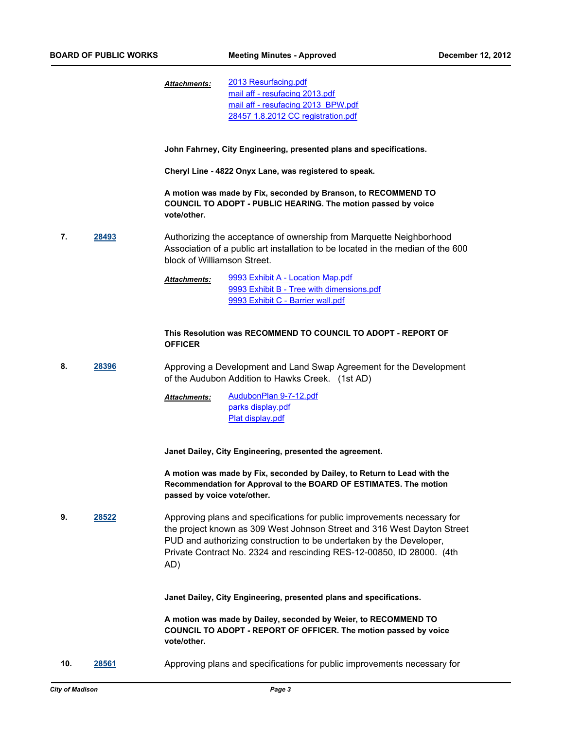[2013 Resurfacing.pdf](http://madison.legistar.com/gateway.aspx?M=F&ID=f2aaf7b4-6615-4875-ada8-2052bd670d0f.pdf) [mail aff - resufacing 2013.pdf](http://madison.legistar.com/gateway.aspx?M=F&ID=57100bc0-659f-479d-8a0a-49ea7738825c.pdf) [mail aff - resufacing 2013 BPW.pdf](http://madison.legistar.com/gateway.aspx?M=F&ID=9fa1d84f-34a1-4583-a5c0-8da4aa2aeae3.pdf) [28457 1.8.2012 CC registration.pdf](http://madison.legistar.com/gateway.aspx?M=F&ID=8161b3b3-2e0d-45e1-a1ff-e46c738d7687.pdf) *Attachments:*

**John Fahrney, City Engineering, presented plans and specifications.** 

**Cheryl Line - 4822 Onyx Lane, was registered to speak.**

**A motion was made by Fix, seconded by Branson, to RECOMMEND TO COUNCIL TO ADOPT - PUBLIC HEARING. The motion passed by voice vote/other.**

**7. [28493](http://madison.legistar.com/gateway.aspx?m=l&id=/matter.aspx?key=31271)** Authorizing the acceptance of ownership from Marquette Neighborhood Association of a public art installation to be located in the median of the 600 block of Williamson Street.

> [9993 Exhibit A - Location Map.pdf](http://madison.legistar.com/gateway.aspx?M=F&ID=0b4cbfa8-603f-4d81-ab20-a9465661ea16.pdf) [9993 Exhibit B - Tree with dimensions.pdf](http://madison.legistar.com/gateway.aspx?M=F&ID=fcb9b7ce-23c7-4f8b-98cc-f562e6c91cd8.pdf) [9993 Exhibit C - Barrier wall.pdf](http://madison.legistar.com/gateway.aspx?M=F&ID=62db2054-26b7-4f9f-ab6a-be295de9ab54.pdf) *Attachments:*

#### **This Resolution was RECOMMEND TO COUNCIL TO ADOPT - REPORT OF OFFICER**

**8. [28396](http://madison.legistar.com/gateway.aspx?m=l&id=/matter.aspx?key=31163)** Approving a Development and Land Swap Agreement for the Development of the Audubon Addition to Hawks Creek. (1st AD)

> [AudubonPlan 9-7-12.pdf](http://madison.legistar.com/gateway.aspx?M=F&ID=150cc98e-8204-4658-a0b6-245258b875c2.pdf) [parks display.pdf](http://madison.legistar.com/gateway.aspx?M=F&ID=71830fe4-0758-44f3-883f-2fd69a81836b.pdf) [Plat display.pdf](http://madison.legistar.com/gateway.aspx?M=F&ID=ab4c7670-2a5b-49f2-b2e3-70c1843a6ee9.pdf) *Attachments:*

**Janet Dailey, City Engineering, presented the agreement.**

**A motion was made by Fix, seconded by Dailey, to Return to Lead with the Recommendation for Approval to the BOARD OF ESTIMATES. The motion passed by voice vote/other.**

**9. [28522](http://madison.legistar.com/gateway.aspx?m=l&id=/matter.aspx?key=31301)** Approving plans and specifications for public improvements necessary for the project known as 309 West Johnson Street and 316 West Dayton Street PUD and authorizing construction to be undertaken by the Developer, Private Contract No. 2324 and rescinding RES-12-00850, ID 28000. (4th AD)

**Janet Dailey, City Engineering, presented plans and specifications.**

**A motion was made by Dailey, seconded by Weier, to RECOMMEND TO COUNCIL TO ADOPT - REPORT OF OFFICER. The motion passed by voice vote/other.**

**10. [28561](http://madison.legistar.com/gateway.aspx?m=l&id=/matter.aspx?key=31345)** Approving plans and specifications for public improvements necessary for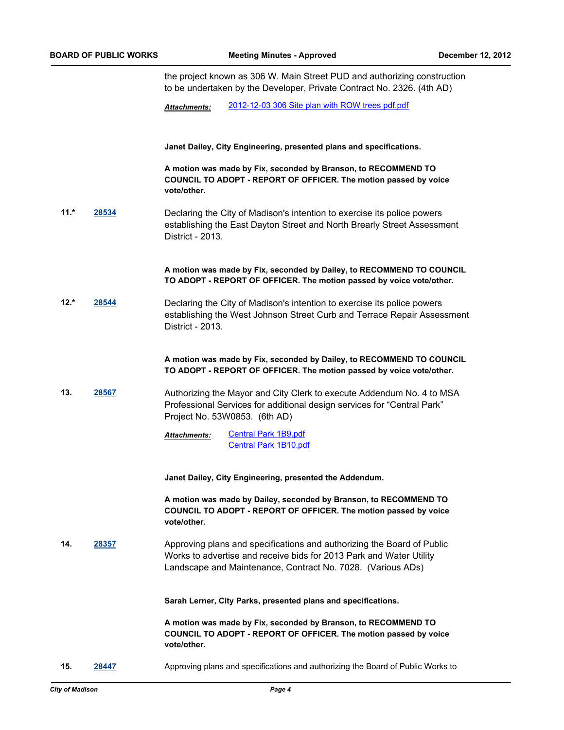the project known as 306 W. Main Street PUD and authorizing construction to be undertaken by the Developer, Private Contract No. 2326. (4th AD) *Attachments:* [2012-12-03 306 Site plan with ROW trees pdf.pdf](http://madison.legistar.com/gateway.aspx?M=F&ID=d8e6376f-686d-4b5b-9eed-43373f2284a2.pdf) **Janet Dailey, City Engineering, presented plans and specifications. A motion was made by Fix, seconded by Branson, to RECOMMEND TO COUNCIL TO ADOPT - REPORT OF OFFICER. The motion passed by voice vote/other. 11.\* [28534](http://madison.legistar.com/gateway.aspx?m=l&id=/matter.aspx?key=31316)** Declaring the City of Madison's intention to exercise its police powers establishing the East Dayton Street and North Brearly Street Assessment District - 2013. **A motion was made by Fix, seconded by Dailey, to RECOMMEND TO COUNCIL TO ADOPT - REPORT OF OFFICER. The motion passed by voice vote/other. 12.\* [28544](http://madison.legistar.com/gateway.aspx?m=l&id=/matter.aspx?key=31326)** Declaring the City of Madison's intention to exercise its police powers establishing the West Johnson Street Curb and Terrace Repair Assessment District - 2013. **A motion was made by Fix, seconded by Dailey, to RECOMMEND TO COUNCIL TO ADOPT - REPORT OF OFFICER. The motion passed by voice vote/other. 13. [28567](http://madison.legistar.com/gateway.aspx?m=l&id=/matter.aspx?key=31352)** Authorizing the Mayor and City Clerk to execute Addendum No. 4 to MSA Professional Services for additional design services for "Central Park" Project No. 53W0853. (6th AD) [Central Park 1B9.pdf](http://madison.legistar.com/gateway.aspx?M=F&ID=270b5085-b255-476a-bf35-ef80a875a7d0.pdf) [Central Park 1B10.pdf](http://madison.legistar.com/gateway.aspx?M=F&ID=d89ceb67-fd6b-4048-a0e7-ca8f6ddfba1a.pdf) *Attachments:* **Janet Dailey, City Engineering, presented the Addendum. A motion was made by Dailey, seconded by Branson, to RECOMMEND TO COUNCIL TO ADOPT - REPORT OF OFFICER. The motion passed by voice vote/other. 14. [28357](http://madison.legistar.com/gateway.aspx?m=l&id=/matter.aspx?key=31124)** Approving plans and specifications and authorizing the Board of Public Works to advertise and receive bids for 2013 Park and Water Utility Landscape and Maintenance, Contract No. 7028. (Various ADs) **Sarah Lerner, City Parks, presented plans and specifications. A motion was made by Fix, seconded by Branson, to RECOMMEND TO COUNCIL TO ADOPT - REPORT OF OFFICER. The motion passed by voice vote/other. 15. [28447](http://madison.legistar.com/gateway.aspx?m=l&id=/matter.aspx?key=31224)** Approving plans and specifications and authorizing the Board of Public Works to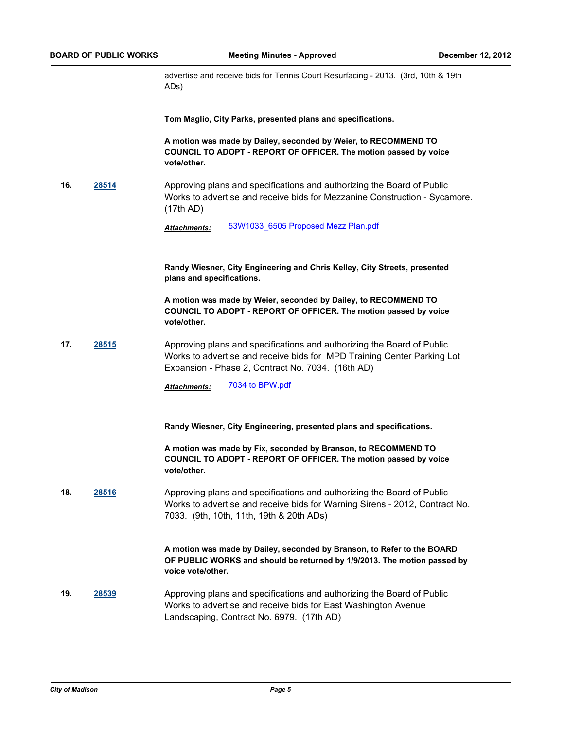advertise and receive bids for Tennis Court Resurfacing - 2013. (3rd, 10th & 19th ADs)

**Tom Maglio, City Parks, presented plans and specifications.**

**A motion was made by Dailey, seconded by Weier, to RECOMMEND TO COUNCIL TO ADOPT - REPORT OF OFFICER. The motion passed by voice vote/other.**

**16. [28514](http://madison.legistar.com/gateway.aspx?m=l&id=/matter.aspx?key=31292)** Approving plans and specifications and authorizing the Board of Public Works to advertise and receive bids for Mezzanine Construction - Sycamore. (17th AD)

*Attachments:* [53W1033\\_6505 Proposed Mezz Plan.pdf](http://madison.legistar.com/gateway.aspx?M=F&ID=410431ed-dfba-43c7-aba4-96d58e878697.pdf)

**Randy Wiesner, City Engineering and Chris Kelley, City Streets, presented plans and specifications.**

**A motion was made by Weier, seconded by Dailey, to RECOMMEND TO COUNCIL TO ADOPT - REPORT OF OFFICER. The motion passed by voice vote/other.**

**17. [28515](http://madison.legistar.com/gateway.aspx?m=l&id=/matter.aspx?key=31293)** Approving plans and specifications and authorizing the Board of Public Works to advertise and receive bids for MPD Training Center Parking Lot Expansion - Phase 2, Contract No. 7034. (16th AD)

Attachments: [7034 to BPW.pdf](http://madison.legistar.com/gateway.aspx?M=F&ID=2e47d47d-d305-4d52-80ec-e7817eae153e.pdf)

**Randy Wiesner, City Engineering, presented plans and specifications.**

**A motion was made by Fix, seconded by Branson, to RECOMMEND TO COUNCIL TO ADOPT - REPORT OF OFFICER. The motion passed by voice vote/other.**

**18. [28516](http://madison.legistar.com/gateway.aspx?m=l&id=/matter.aspx?key=31294)** Approving plans and specifications and authorizing the Board of Public Works to advertise and receive bids for Warning Sirens - 2012, Contract No. 7033. (9th, 10th, 11th, 19th & 20th ADs)

> **A motion was made by Dailey, seconded by Branson, to Refer to the BOARD OF PUBLIC WORKS and should be returned by 1/9/2013. The motion passed by voice vote/other.**

**19. [28539](http://madison.legistar.com/gateway.aspx?m=l&id=/matter.aspx?key=31321)** Approving plans and specifications and authorizing the Board of Public Works to advertise and receive bids for East Washington Avenue Landscaping, Contract No. 6979. (17th AD)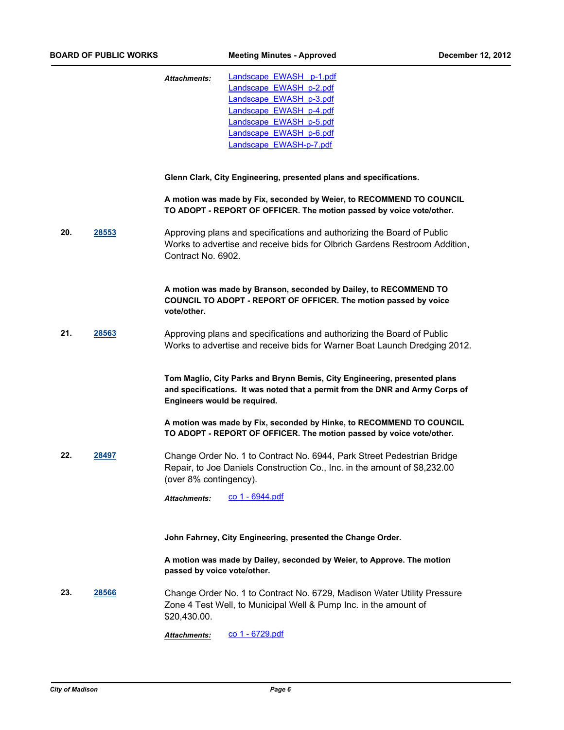|     |       | Landscape EWASH p-1.pdf<br><b>Attachments:</b><br>Landscape_EWASH_p-2.pdf<br>Landscape EWASH p-3.pdf<br>Landscape EWASH p-4.pdf<br>Landscape EWASH p-5.pdf<br>Landscape EWASH p-6.pdf<br>Landscape EWASH-p-7.pdf |
|-----|-------|------------------------------------------------------------------------------------------------------------------------------------------------------------------------------------------------------------------|
|     |       | Glenn Clark, City Engineering, presented plans and specifications.                                                                                                                                               |
|     |       | A motion was made by Fix, seconded by Weier, to RECOMMEND TO COUNCIL<br>TO ADOPT - REPORT OF OFFICER. The motion passed by voice vote/other.                                                                     |
| 20. | 28553 | Approving plans and specifications and authorizing the Board of Public<br>Works to advertise and receive bids for Olbrich Gardens Restroom Addition,<br>Contract No. 6902.                                       |
|     |       | A motion was made by Branson, seconded by Dailey, to RECOMMEND TO<br>COUNCIL TO ADOPT - REPORT OF OFFICER. The motion passed by voice<br>vote/other.                                                             |
| 21. | 28563 | Approving plans and specifications and authorizing the Board of Public<br>Works to advertise and receive bids for Warner Boat Launch Dredging 2012.                                                              |
|     |       | Tom Maglio, City Parks and Brynn Bemis, City Engineering, presented plans<br>and specifications. It was noted that a permit from the DNR and Army Corps of<br>Engineers would be required.                       |
|     |       | A motion was made by Fix, seconded by Hinke, to RECOMMEND TO COUNCIL<br>TO ADOPT - REPORT OF OFFICER. The motion passed by voice vote/other.                                                                     |
| 22. | 28497 | Change Order No. 1 to Contract No. 6944, Park Street Pedestrian Bridge<br>Repair, to Joe Daniels Construction Co., Inc. in the amount of \$8,232.00<br>(over 8% contingency).                                    |
|     |       | co 1 - 6944.pdf<br><b>Attachments:</b>                                                                                                                                                                           |
|     |       | John Fahrney, City Engineering, presented the Change Order.                                                                                                                                                      |
|     |       | A motion was made by Dailey, seconded by Weier, to Approve. The motion<br>passed by voice vote/other.                                                                                                            |
| 23. | 28566 | Change Order No. 1 to Contract No. 6729, Madison Water Utility Pressure<br>Zone 4 Test Well, to Municipal Well & Pump Inc. in the amount of<br>\$20,430.00.                                                      |
|     |       | co 1 - 6729.pdf<br>Attachments:                                                                                                                                                                                  |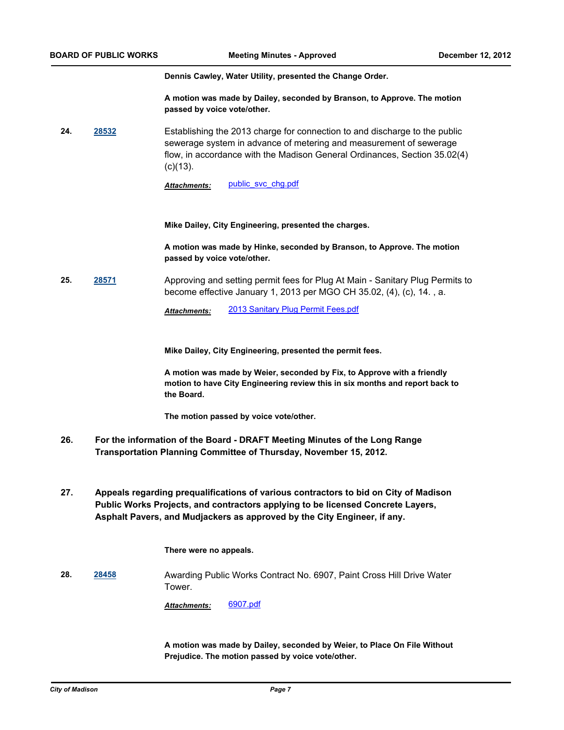**Dennis Cawley, Water Utility, presented the Change Order.**

**A motion was made by Dailey, seconded by Branson, to Approve. The motion passed by voice vote/other.**

**24. [28532](http://madison.legistar.com/gateway.aspx?m=l&id=/matter.aspx?key=31313)** Establishing the 2013 charge for connection to and discharge to the public sewerage system in advance of metering and measurement of sewerage flow, in accordance with the Madison General Ordinances, Section 35.02(4)  $(c)(13)$ .

Attachments: [public\\_svc\\_chg.pdf](http://madison.legistar.com/gateway.aspx?M=F&ID=e6b9d5db-749d-4e35-9b7c-2adc6a39dc62.pdf)

**Mike Dailey, City Engineering, presented the charges.**

**A motion was made by Hinke, seconded by Branson, to Approve. The motion passed by voice vote/other.**

**25. [28571](http://madison.legistar.com/gateway.aspx?m=l&id=/matter.aspx?key=31357)** Approving and setting permit fees for Plug At Main - Sanitary Plug Permits to become effective January 1, 2013 per MGO CH 35.02, (4), (c), 14. , a.

*Attachments:* [2013 Sanitary Plug Permit Fees.pdf](http://madison.legistar.com/gateway.aspx?M=F&ID=cbb793ee-a21a-4559-8e0e-e69f9402614c.pdf)

**Mike Dailey, City Engineering, presented the permit fees.**

**A motion was made by Weier, seconded by Fix, to Approve with a friendly motion to have City Engineering review this in six months and report back to the Board.**

**The motion passed by voice vote/other.**

- **For the information of the Board DRAFT Meeting Minutes of the Long Range Transportation Planning Committee of Thursday, November 15, 2012. 26.**
- **Appeals regarding prequalifications of various contractors to bid on City of Madison Public Works Projects, and contractors applying to be licensed Concrete Layers, Asphalt Pavers, and Mudjackers as approved by the City Engineer, if any. 27.**

**There were no appeals.**

**28. [28458](http://madison.legistar.com/gateway.aspx?m=l&id=/matter.aspx?key=31234)** Awarding Public Works Contract No. 6907, Paint Cross Hill Drive Water Tower.

*Attachments:* [6907.pdf](http://madison.legistar.com/gateway.aspx?M=F&ID=27254570-88d6-4455-b632-d807a935262f.pdf)

**A motion was made by Dailey, seconded by Weier, to Place On File Without Prejudice. The motion passed by voice vote/other.**